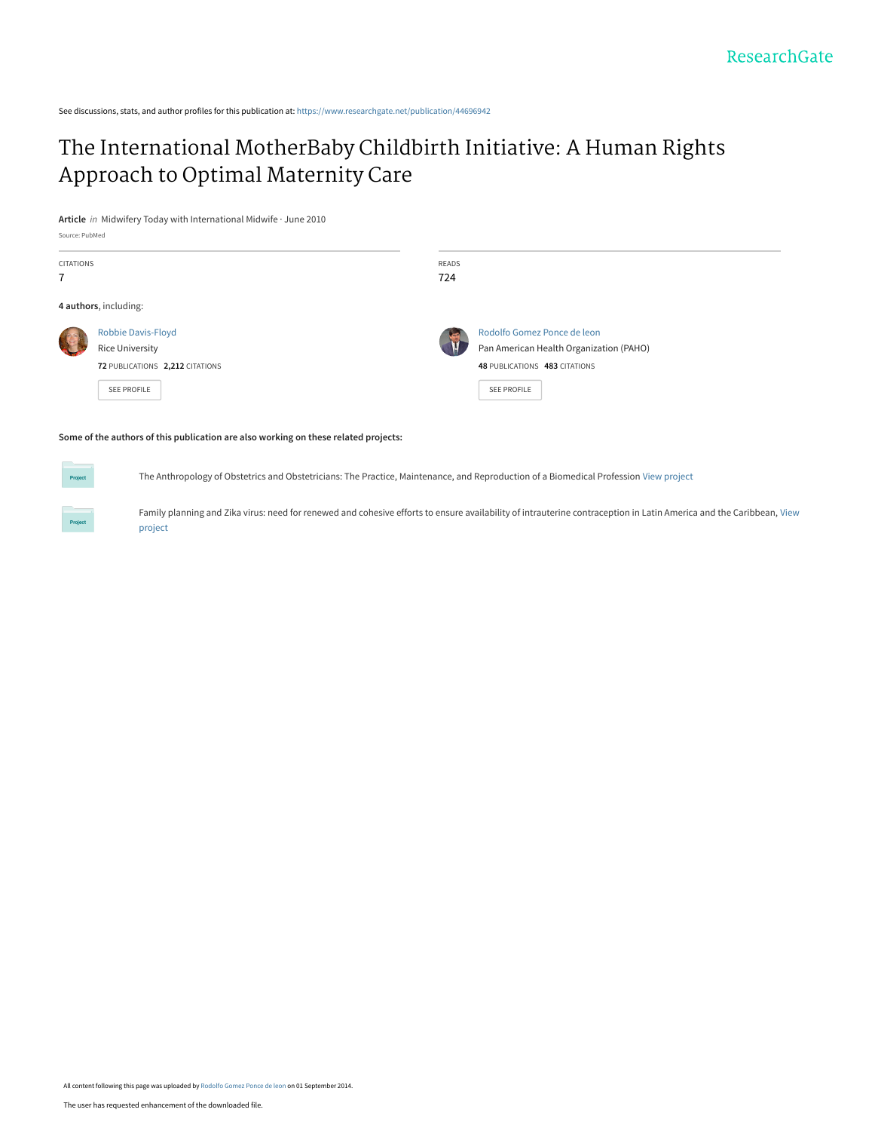See discussions, stats, and author profiles for this publication at: [https://www.researchgate.net/publication/44696942](https://www.researchgate.net/publication/44696942_The_International_MotherBaby_Childbirth_Initiative_A_Human_Rights_Approach_to_Optimal_Maternity_Care?enrichId=rgreq-0675c5909a97817761377dcfc73bfd73-XXX&enrichSource=Y292ZXJQYWdlOzQ0Njk2OTQyO0FTOjEzNjYyNzU2OTU2NTY5NkAxNDA5NTg1OTU5ODkz&el=1_x_2&_esc=publicationCoverPdf)

## [The International MotherBaby Childbirth Initiative: A Human Rights](https://www.researchgate.net/publication/44696942_The_International_MotherBaby_Childbirth_Initiative_A_Human_Rights_Approach_to_Optimal_Maternity_Care?enrichId=rgreq-0675c5909a97817761377dcfc73bfd73-XXX&enrichSource=Y292ZXJQYWdlOzQ0Njk2OTQyO0FTOjEzNjYyNzU2OTU2NTY5NkAxNDA5NTg1OTU5ODkz&el=1_x_3&_esc=publicationCoverPdf) Approach to Optimal Maternity Care

**Article** in Midwifery Today with International Midwife · June 2010

| Source: PubMed        |                                 |              |                                         |
|-----------------------|---------------------------------|--------------|-----------------------------------------|
| <b>CITATIONS</b>      |                                 | <b>READS</b> |                                         |
| $\overline{7}$        |                                 | 724          |                                         |
| 4 authors, including: |                                 |              |                                         |
|                       | <b>Robbie Davis-Floyd</b>       | H            | Rodolfo Gomez Ponce de leon             |
|                       | <b>Rice University</b>          |              | Pan American Health Organization (PAHO) |
|                       | 72 PUBLICATIONS 2,212 CITATIONS |              | 48 PUBLICATIONS 483 CITATIONS           |
|                       | <b>SEE PROFILE</b>              |              | <b>SEE PROFILE</b>                      |

#### **Some of the authors of this publication are also working on these related projects:**

**Project** 

The Anthropology of Obstetrics and Obstetricians: The Practice, Maintenance, and Reproduction of a Biomedical Profession [View project](https://www.researchgate.net/project/The-Anthropology-of-Obstetrics-and-Obstetricians-The-Practice-Maintenance-and-Reproduction-of-a-Biomedical-Profession?enrichId=rgreq-0675c5909a97817761377dcfc73bfd73-XXX&enrichSource=Y292ZXJQYWdlOzQ0Njk2OTQyO0FTOjEzNjYyNzU2OTU2NTY5NkAxNDA5NTg1OTU5ODkz&el=1_x_9&_esc=publicationCoverPdf)

[Family planning and Zika virus: need for renewed and cohesive efforts to ensure availability of intrauterine contraception in Latin America and the Caribbean,](https://www.researchgate.net/project/Family-planning-and-Zika-virus-need-for-renewed-and-cohesive-efforts-to-ensure-availability-of-intrauterine-contraception-in-Latin-America-and-the-Caribbean?enrichId=rgreq-0675c5909a97817761377dcfc73bfd73-XXX&enrichSource=Y292ZXJQYWdlOzQ0Njk2OTQyO0FTOjEzNjYyNzU2OTU2NTY5NkAxNDA5NTg1OTU5ODkz&el=1_x_9&_esc=publicationCoverPdf) View project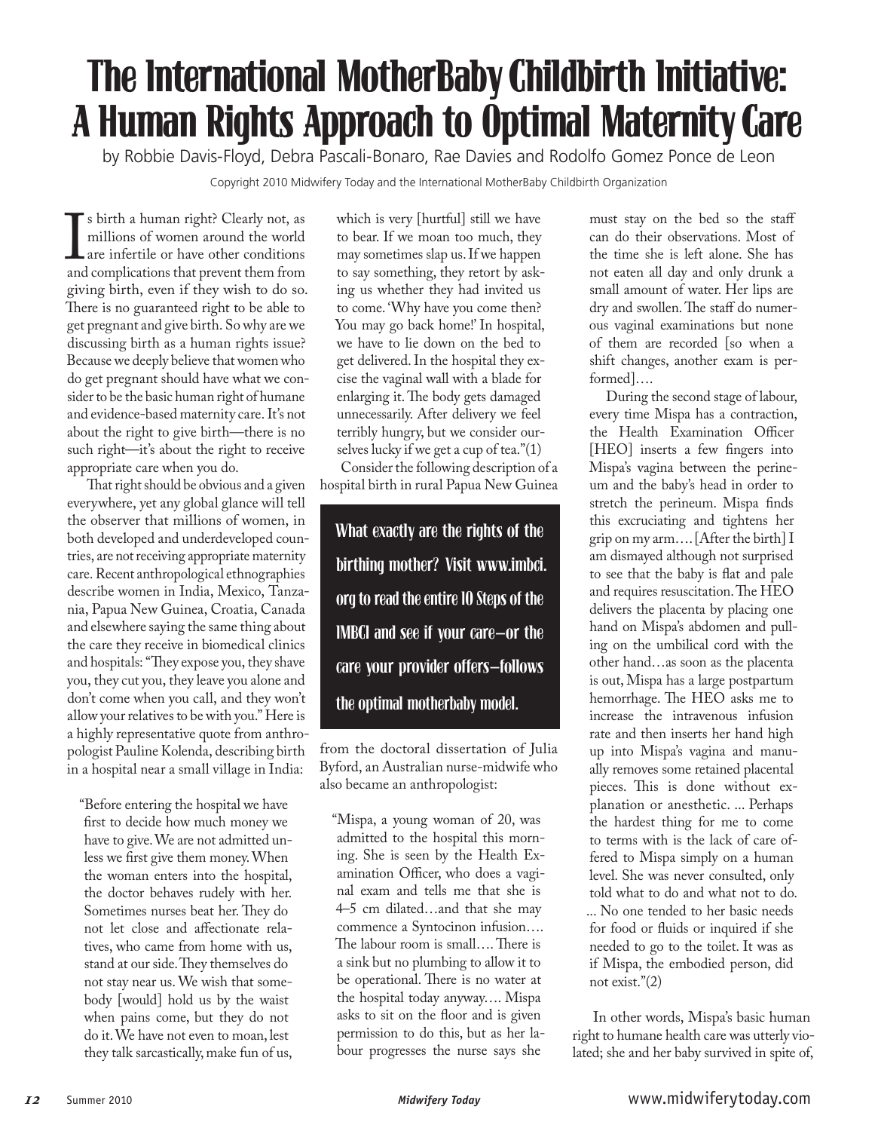# **The International MotherBaby Childbirth Initiative: A Human Rights Approach to Optimal Maternity Care**

by Robbie Davis-Floyd, Debra Pascali-Bonaro, Rae Davies and Rodolfo Gomez Ponce de Leon

Copyright 2010 Midwifery Today and the International MotherBaby Childbirth Organization

I is shift a namal right: Cetary hot, as<br>millions of women around the world<br>are infertile or have other conditions<br>and complications that prevent them from s birth a human right? Clearly not, as millions of women around the world are infertile or have other conditions giving birth, even if they wish to do so. There is no guaranteed right to be able to get pregnant and give birth. So why are we discussing birth as a human rights issue? Because we deeply believe that women who do get pregnant should have what we consider to be the basic human right of humane and evidence-based maternity care. It's not about the right to give birth—there is no such right—it's about the right to receive appropriate care when you do.

That right should be obvious and a given everywhere, yet any global glance will tell the observer that millions of women, in both developed and underdeveloped countries, are not receiving appropriate maternity care. Recent anthropological ethnographies describe women in India, Mexico, Tanzania, Papua New Guinea, Croatia, Canada and elsewhere saying the same thing about the care they receive in biomedical clinics and hospitals: "They expose you, they shave you, they cut you, they leave you alone and don't come when you call, and they won't allow your relatives to be with you." Here is a highly representative quote from anthropologist Pauline Kolenda, describing birth in a hospital near a small village in India:

"Before entering the hospital we have first to decide how much money we have to give. We are not admitted unless we first give them money. When the woman enters into the hospital, the doctor behaves rudely with her. Sometimes nurses beat her. They do not let close and affectionate relatives, who came from home with us, stand at our side. They themselves do not stay near us. We wish that somebody [would] hold us by the waist when pains come, but they do not do it. We have not even to moan, lest they talk sarcastically, make fun of us,

which is very [hurtful] still we have to bear. If we moan too much, they may sometimes slap us. If we happen to say something, they retort by asking us whether they had invited us to come. 'Why have you come then? You may go back home!' In hospital, we have to lie down on the bed to get delivered. In the hospital they excise the vaginal wall with a blade for enlarging it. The body gets damaged unnecessarily. After delivery we feel terribly hungry, but we consider ourselves lucky if we get a cup of tea."(1)

Consider the following description of a hospital birth in rural Papua New Guinea

What exactly are the rights of the birthing mother? Visit www.imbci. org to read the entire 10 Steps of the IMBCI and see if your care—or the care your provider offers—follows the optimal motherbaby model.

from the doctoral dissertation of Julia Byford, an Australian nurse-midwife who also became an anthropologist:

"Mispa, a young woman of 20, was admitted to the hospital this morning. She is seen by the Health Examination Officer, who does a vaginal exam and tells me that she is 4–5 cm dilated…and that she may commence a Syntocinon infusion…. The labour room is small…. There is a sink but no plumbing to allow it to be operational. There is no water at the hospital today anyway…. Mispa asks to sit on the floor and is given permission to do this, but as her labour progresses the nurse says she

must stay on the bed so the staff can do their observations. Most of the time she is left alone. She has not eaten all day and only drunk a small amount of water. Her lips are dry and swollen. The staff do numerous vaginal examinations but none of them are recorded [so when a shift changes, another exam is performed]….

During the second stage of labour, every time Mispa has a contraction, the Health Examination Officer [HEO] inserts a few fingers into Mispa's vagina between the perineum and the baby's head in order to stretch the perineum. Mispa finds this excruciating and tightens her grip on my arm…. [After the birth] I am dismayed although not surprised to see that the baby is flat and pale and requires resuscitation. The HEO delivers the placenta by placing one hand on Mispa's abdomen and pulling on the umbilical cord with the other hand…as soon as the placenta is out, Mispa has a large postpartum hemorrhage. The HEO asks me to increase the intravenous infusion rate and then inserts her hand high up into Mispa's vagina and manually removes some retained placental pieces. This is done without explanation or anesthetic. ... Perhaps the hardest thing for me to come to terms with is the lack of care offered to Mispa simply on a human level. She was never consulted, only told what to do and what not to do. ... No one tended to her basic needs for food or fluids or inquired if she needed to go to the toilet. It was as if Mispa, the embodied person, did not exist."(2)

In other words, Mispa's basic human right to humane health care was utterly violated; she and her baby survived in spite of,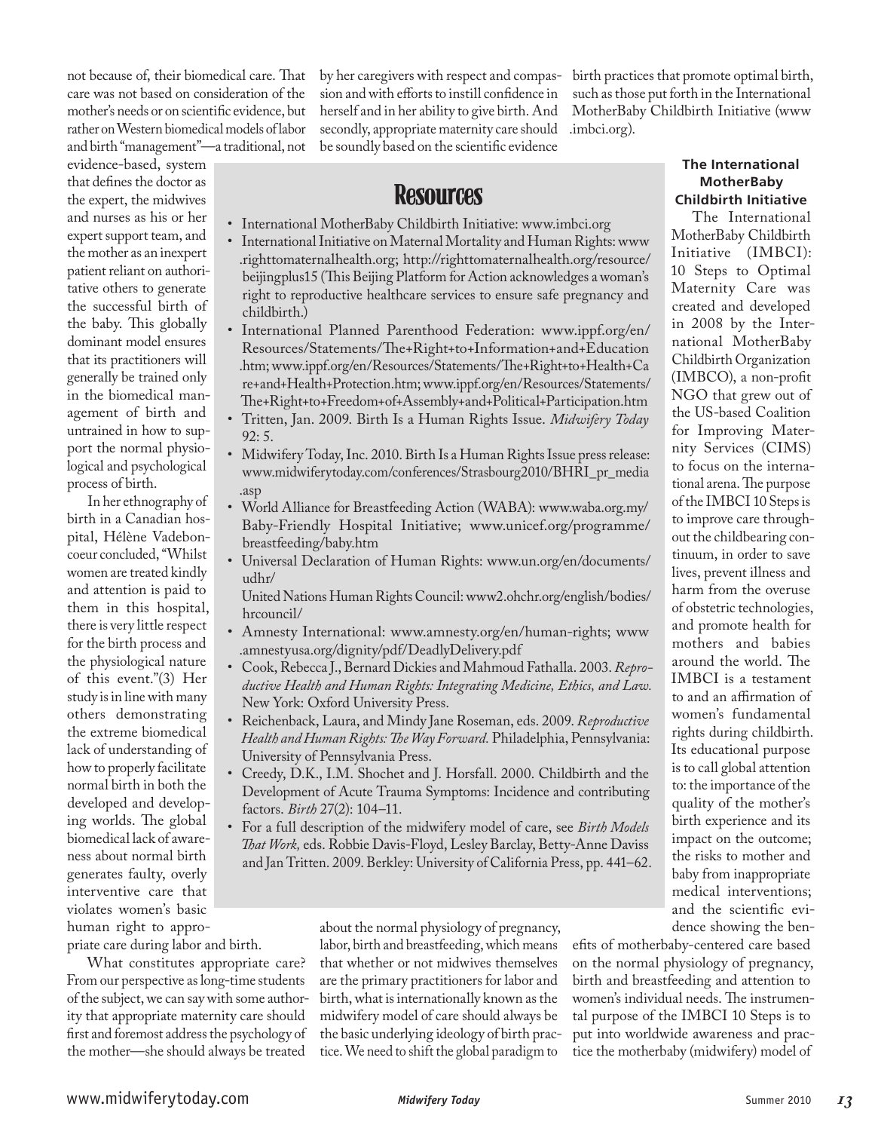not because of, their biomedical care. That care was not based on consideration of the mother's needs or on scientific evidence, but rather on Western biomedical models of labor and birth "management"—a traditional, not

evidence-based, system that defines the doctor as the expert, the midwives and nurses as his or her expert support team, and the mother as an inexpert patient reliant on authoritative others to generate the successful birth of the baby. This globally dominant model ensures that its practitioners will generally be trained only in the biomedical management of birth and untrained in how to support the normal physiological and psychological process of birth.

In her ethnography of birth in a Canadian hospital, Hélène Vadeboncoeur concluded, "Whilst women are treated kindly and attention is paid to them in this hospital, there is very little respect for the birth process and the physiological nature of this event."(3) Her study is in line with many others demonstrating the extreme biomedical lack of understanding of how to properly facilitate normal birth in both the developed and developing worlds. The global biomedical lack of awareness about normal birth generates faulty, overly interventive care that violates women's basic human right to appro-

priate care during labor and birth.

What constitutes appropriate care? From our perspective as long-time students of the subject, we can say with some authority that appropriate maternity care should first and foremost address the psychology of the mother—she should always be treated

by her caregivers with respect and compassion and with efforts to instill confidence in herself and in her ability to give birth. And secondly, appropriate maternity care should be soundly based on the scientific evidence

birth practices that promote optimal birth, such as those put forth in the International MotherBaby Childbirth Initiative (www .imbci.org).

### **Resources**

- International MotherBaby Childbirth Initiative: www.imbci.org
- International Initiative on Maternal Mortality and Human Rights: www .righttomaternalhealth.org; http://righttomaternalhealth.org/resource/ beijingplus15 (This Beijing Platform for Action acknowledges a woman's right to reproductive healthcare services to ensure safe pregnancy and childbirth.)
- International Planned Parenthood Federation: www.ippf.org/en/ Resources/Statements/The+Right+to+Information+and+Education .htm; www.ippf.org/en/Resources/Statements/The+Right+to+Health+Ca re+and+Health+Protection.htm; www.ippf.org/en/Resources/Statements/ The+Right+to+Freedom+of+Assembly+and+Political+Participation.htm
- Tritten, Jan. 2009. Birth Is a Human Rights Issue. *Midwifery Today* 92: 5.
- Midwifery Today, Inc. 2010. Birth Is a Human Rights Issue press release: www.midwiferytoday.com/conferences/Strasbourg2010/BHRI\_pr\_media .asp
- World Alliance for Breastfeeding Action (WABA): www.waba.org.my/ Baby-Friendly Hospital Initiative; www.unicef.org/programme/ breastfeeding/baby.htm
- Universal Declaration of Human Rights: www.un.org/en/documents/ udhr/

United Nations Human Rights Council: www2.ohchr.org/english/bodies/ hrcouncil/

- Amnesty International: www.amnesty.org/en/human-rights; www .amnestyusa.org/dignity/pdf/DeadlyDelivery.pdf
- Cook, Rebecca J., Bernard Dickies and Mahmoud Fathalla. 2003. *Reproductive Health and Human Rights: Integrating Medicine, Ethics, and Law.* New York: Oxford University Press.
- Reichenback, Laura, and Mindy Jane Roseman, eds. 2009. *Reproductive Health and Human Rights: The Way Forward.* Philadelphia, Pennsylvania: University of Pennsylvania Press.
- Creedy, D.K., I.M. Shochet and J. Horsfall. 2000. Childbirth and the Development of Acute Trauma Symptoms: Incidence and contributing factors. *Birth* 27(2): 104–11.
- For a full description of the midwifery model of care, see *Birth Models That Work,* eds. Robbie Davis-Floyd, Lesley Barclay, Betty-Anne Daviss and Jan Tritten. 2009. Berkley: University of California Press, pp. 441–62.

about the normal physiology of pregnancy, labor, birth and breastfeeding, which means that whether or not midwives themselves are the primary practitioners for labor and birth, what is internationally known as the midwifery model of care should always be the basic underlying ideology of birth practice. We need to shift the global paradigm to

#### **The International MotherBaby Childbirth Initiative**

The International MotherBaby Childbirth Initiative (IMBCI): 10 Steps to Optimal Maternity Care was created and developed in 2008 by the International MotherBaby Childbirth Organization (IMBCO), a non-profit NGO that grew out of the US-based Coalition for Improving Maternity Services (CIMS) to focus on the international arena. The purpose of the IMBCI 10 Steps is to improve care throughout the childbearing continuum, in order to save lives, prevent illness and harm from the overuse of obstetric technologies, and promote health for mothers and babies around the world. The IMBCI is a testament to and an affirmation of women's fundamental rights during childbirth. Its educational purpose is to call global attention to: the importance of the quality of the mother's birth experience and its impact on the outcome; the risks to mother and baby from inappropriate medical interventions; and the scientific evidence showing the ben-

efits of motherbaby-centered care based on the normal physiology of pregnancy, birth and breastfeeding and attention to women's individual needs. The instrumental purpose of the IMBCI 10 Steps is to put into worldwide awareness and practice the motherbaby (midwifery) model of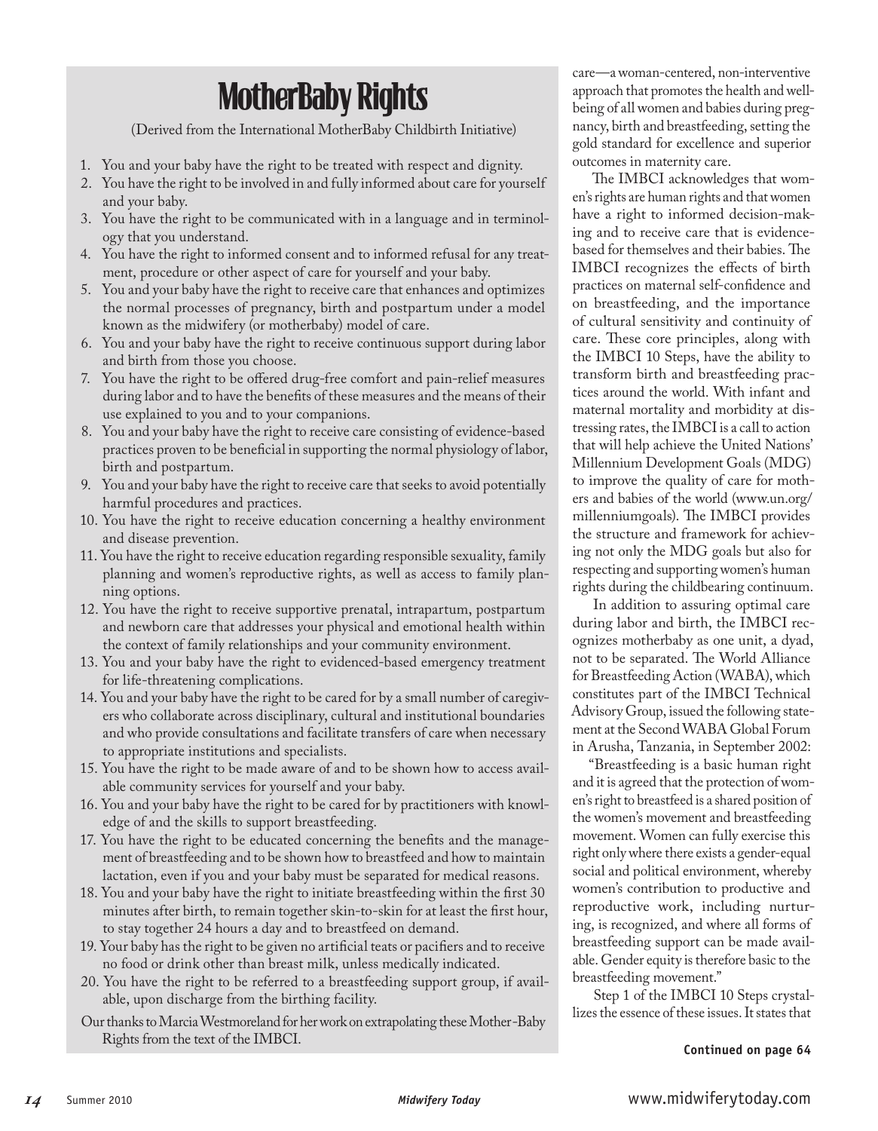# **MotherBaby Rights**

(Derived from the International MotherBaby Childbirth Initiative)

- 1. You and your baby have the right to be treated with respect and dignity.
- 2. You have the right to be involved in and fully informed about care for yourself and your baby.
- 3. You have the right to be communicated with in a language and in terminology that you understand.
- 4. You have the right to informed consent and to informed refusal for any treatment, procedure or other aspect of care for yourself and your baby.
- 5. You and your baby have the right to receive care that enhances and optimizes the normal processes of pregnancy, birth and postpartum under a model known as the midwifery (or motherbaby) model of care.
- 6. You and your baby have the right to receive continuous support during labor and birth from those you choose.
- 7. You have the right to be offered drug-free comfort and pain-relief measures during labor and to have the benefits of these measures and the means of their use explained to you and to your companions.
- 8. You and your baby have the right to receive care consisting of evidence-based practices proven to be beneficial in supporting the normal physiology of labor, birth and postpartum.
- 9. You and your baby have the right to receive care that seeks to avoid potentially harmful procedures and practices.
- 10. You have the right to receive education concerning a healthy environment and disease prevention.
- 11. You have the right to receive education regarding responsible sexuality, family planning and women's reproductive rights, as well as access to family planning options.
- 12. You have the right to receive supportive prenatal, intrapartum, postpartum and newborn care that addresses your physical and emotional health within the context of family relationships and your community environment.
- 13. You and your baby have the right to evidenced-based emergency treatment for life-threatening complications.
- 14. You and your baby have the right to be cared for by a small number of caregivers who collaborate across disciplinary, cultural and institutional boundaries and who provide consultations and facilitate transfers of care when necessary to appropriate institutions and specialists.
- 15. You have the right to be made aware of and to be shown how to access available community services for yourself and your baby.
- 16. You and your baby have the right to be cared for by practitioners with knowledge of and the skills to support breastfeeding.
- 17. You have the right to be educated concerning the benefits and the management of breastfeeding and to be shown how to breastfeed and how to maintain lactation, even if you and your baby must be separated for medical reasons.
- 18. You and your baby have the right to initiate breastfeeding within the first 30 minutes after birth, to remain together skin-to-skin for at least the first hour, to stay together 24 hours a day and to breastfeed on demand.
- 19. Your baby has the right to be given no artificial teats or pacifiers and to receive no food or drink other than breast milk, unless medically indicated.
- 20. You have the right to be referred to a breastfeeding support group, if available, upon discharge from the birthing facility.

Our thanks to Marcia Westmoreland for her work on extrapolating these Mother -Baby Rights from the text of the IMBCI. **Continued on page 64**

care—a woman-centered, non-interventive approach that promotes the health and wellbeing of all women and babies during pregnancy, birth and breastfeeding, setting the gold standard for excellence and superior outcomes in maternity care.

The IMBCI acknowledges that women's rights are human rights and that women have a right to informed decision-making and to receive care that is evidencebased for themselves and their babies. The IMBCI recognizes the effects of birth practices on maternal self-confidence and on breastfeeding, and the importance of cultural sensitivity and continuity of care. These core principles, along with the IMBCI 10 Steps, have the ability to transform birth and breastfeeding practices around the world. With infant and maternal mortality and morbidity at distressing rates, the IMBCI is a call to action that will help achieve the United Nations' Millennium Development Goals (MDG) to improve the quality of care for mothers and babies of the world (www.un.org/ millenniumgoals). The IMBCI provides the structure and framework for achieving not only the MDG goals but also for respecting and supporting women's human rights during the childbearing continuum.

In addition to assuring optimal care during labor and birth, the IMBCI recognizes motherbaby as one unit, a dyad, not to be separated. The World Alliance for Breastfeeding Action (WABA), which constitutes part of the IMBCI Technical Advisory Group, issued the following statement at the Second WABA Global Forum in Arusha, Tanzania, in September 2002:

"Breastfeeding is a basic human right and it is agreed that the protection of women's right to breastfeed is a shared position of the women's movement and breastfeeding movement. Women can fully exercise this right only where there exists a gender-equal social and political environment, whereby women's contribution to productive and reproductive work, including nurturing, is recognized, and where all forms of breastfeeding support can be made available. Gender equity is therefore basic to the breastfeeding movement."

Step 1 of the IMBCI 10 Steps crystallizes the essence of these issues. It states that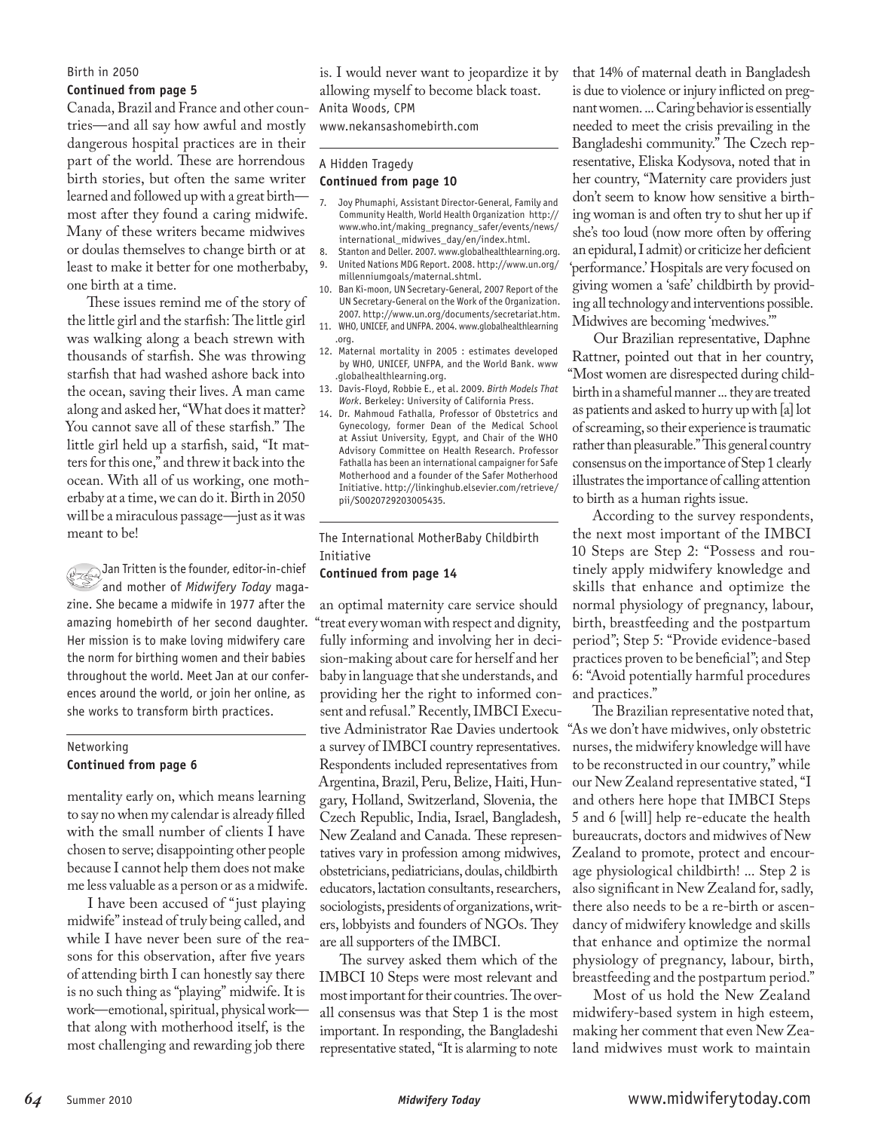#### Birth in 2050 **Continued from page 5**

Canada, Brazil and France and other countries—and all say how awful and mostly dangerous hospital practices are in their part of the world. These are horrendous birth stories, but often the same writer learned and followed up with a great birth most after they found a caring midwife. Many of these writers became midwives or doulas themselves to change birth or at least to make it better for one motherbaby, one birth at a time.

These issues remind me of the story of the little girl and the starfish: The little girl was walking along a beach strewn with thousands of starfish. She was throwing starfish that had washed ashore back into the ocean, saving their lives. A man came along and asked her, "What does it matter? You cannot save all of these starfish." The little girl held up a starfish, said, "It matters for this one," and threw it back into the ocean. With all of us working, one motherbaby at a time, we can do it. Birth in 2050 will be a miraculous passage—just as it was meant to be!

 $\mathbb{R}$ Jan Tritten is the founder, editor-in-chief and mother of *Midwifery Today* magazine. She became a midwife in 1977 after the amazing homebirth of her second daughter. Her mission is to make loving midwifery care the norm for birthing women and their babies throughout the world. Meet Jan at our conferences around the world, or join her online, as she works to transform birth practices.

#### Networking **Continued from page 6**

mentality early on, which means learning to say no when my calendar is already filled with the small number of clients I have chosen to serve; disappointing other people because I cannot help them does not make me less valuable as a person or as a midwife.

I have been accused of "just playing midwife" instead of truly being called, and while I have never been sure of the reasons for this observation, after five years of attending birth I can honestly say there is no such thing as "playing" midwife. It is work—emotional, spiritual, physical work that along with motherhood itself, is the most challenging and rewarding job there

is. I would never want to jeopardize it by allowing myself to become black toast. Anita Woods, CPM

www.nekansashomebirth.com

#### A Hidden Tragedy **Continued from page 10**

- 7. Joy Phumaphi, Assistant Director-General, Family and Community Health, World Health Organization http:// www.who.int/making\_pregnancy\_safer/events/news/ international\_midwives\_day/en/index.html.
- 8. Stanton and Deller. 2007. www.globalhealthlearning.org. 9. United Nations MDG Report. 2008. http://www.un.org/ millenniumgoals/maternal.shtml.
- 10. Ban Ki-moon, UN Secretary-General, 2007 Report of the UN Secretary-General on the Work of the Organization. 2007. http://www.un.org/documents/secretariat.htm.
- 11. WHO, UNICEF, and UNFPA. 2004. www.globalhealthlearning .org.
- 12. Maternal mortality in 2005 : estimates developed by WHO, UNICEF, UNFPA, and the World Bank. www .globalhealthlearning.org.
- 13. Davis-Floyd, Robbie E., et al. 2009. *Birth Models That Work*. Berkeley: University of California Press.
- 14. Dr. Mahmoud Fathalla, Professor of Obstetrics and Gynecology, former Dean of the Medical School at Assiut University, Egypt, and Chair of the WHO Advisory Committee on Health Research. Professor Fathalla has been an international campaigner for Safe Motherhood and a founder of the Safer Motherhood Initiative. http://linkinghub.elsevier.com/retrieve/ pii/S0020729203005435.

The International MotherBaby Childbirth Initiative

#### **Continued from page 14**

an optimal maternity care service should "treat every woman with respect and dignity, fully informing and involving her in decision-making about care for herself and her baby in language that she understands, and providing her the right to informed consent and refusal." Recently, IMBCI Executive Administrator Rae Davies undertook a survey of IMBCI country representatives. Respondents included representatives from Argentina, Brazil, Peru, Belize, Haiti, Hungary, Holland, Switzerland, Slovenia, the Czech Republic, India, Israel, Bangladesh, New Zealand and Canada. These representatives vary in profession among midwives, obstetricians, pediatricians, doulas, childbirth educators, lactation consultants, researchers, sociologists, presidents of organizations, writers, lobbyists and founders of NGOs. They are all supporters of the IMBCI.

The survey asked them which of the IMBCI 10 Steps were most relevant and most important for their countries. The overall consensus was that Step 1 is the most important. In responding, the Bangladeshi representative stated, "It is alarming to note

that 14% of maternal death in Bangladesh is due to violence or injury inflicted on pregnant women. ... Caring behavior is essentially needed to meet the crisis prevailing in the Bangladeshi community." The Czech representative, Eliska Kodysova, noted that in her country, "Maternity care providers just don't seem to know how sensitive a birthing woman is and often try to shut her up if she's too loud (now more often by offering an epidural, I admit) or criticize her deficient 'performance.' Hospitals are very focused on giving women a 'safe' childbirth by providing all technology and interventions possible. Midwives are becoming 'medwives.'"

Our Brazilian representative, Daphne Rattner, pointed out that in her country, "Most women are disrespected during childbirth in a shameful manner ... they are treated as patients and asked to hurry up with [a] lot of screaming, so their experience is traumatic rather than pleasurable." This general country consensus on the importance of Step 1 clearly illustrates the importance of calling attention to birth as a human rights issue.

According to the survey respondents, the next most important of the IMBCI 10 Steps are Step 2: "Possess and routinely apply midwifery knowledge and skills that enhance and optimize the normal physiology of pregnancy, labour, birth, breastfeeding and the postpartum period"; Step 5: "Provide evidence-based practices proven to be beneficial"; and Step 6: "Avoid potentially harmful procedures and practices."

The Brazilian representative noted that, "As we don't have midwives, only obstetric nurses, the midwifery knowledge will have to be reconstructed in our country," while our New Zealand representative stated, "I and others here hope that IMBCI Steps 5 and 6 [will] help re-educate the health bureaucrats, doctors and midwives of New Zealand to promote, protect and encourage physiological childbirth! ... Step 2 is also significant in New Zealand for, sadly, there also needs to be a re-birth or ascendancy of midwifery knowledge and skills that enhance and optimize the normal physiology of pregnancy, labour, birth, breastfeeding and the postpartum period."

Most of us hold the New Zealand midwifery-based system in high esteem, making her comment that even New Zealand midwives must work to maintain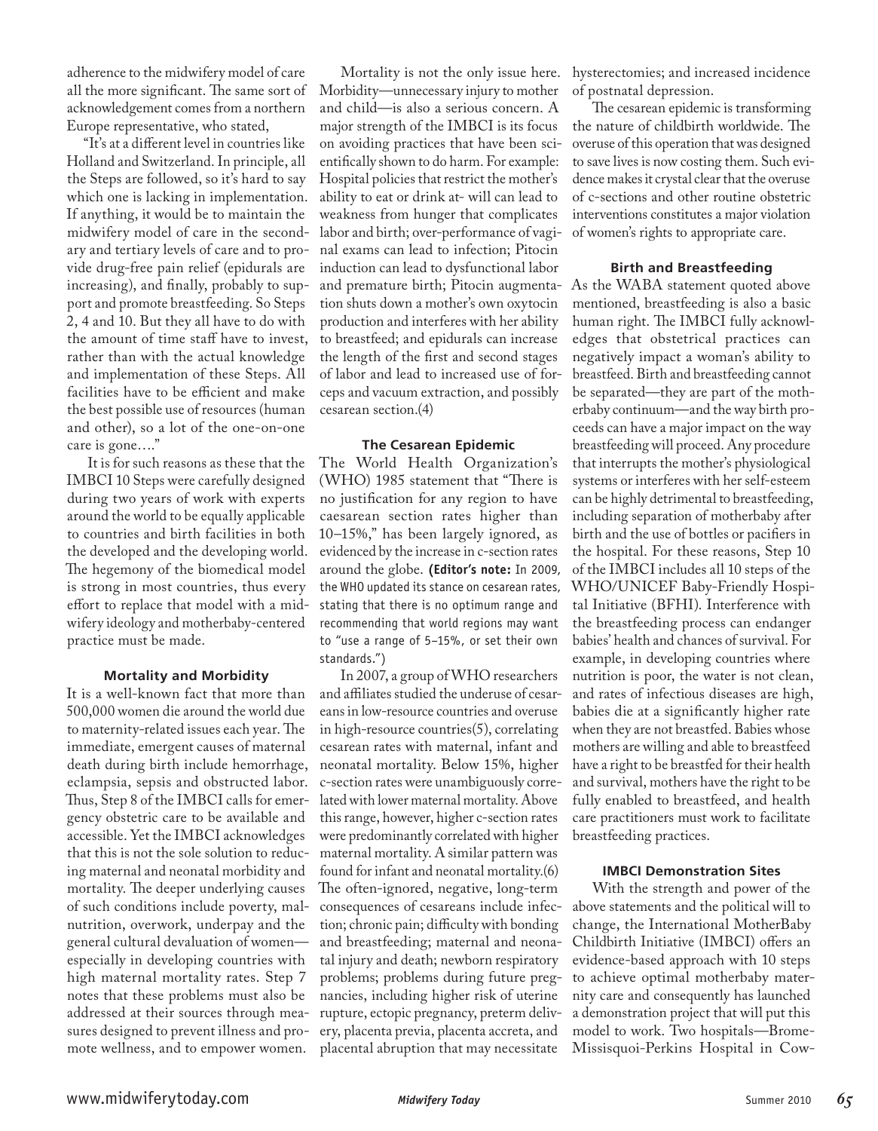adherence to the midwifery model of care all the more significant. The same sort of acknowledgement comes from a northern Europe representative, who stated,

"It's at a different level in countries like Holland and Switzerland. In principle, all the Steps are followed, so it's hard to say which one is lacking in implementation. If anything, it would be to maintain the midwifery model of care in the secondary and tertiary levels of care and to provide drug-free pain relief (epidurals are increasing), and finally, probably to support and promote breastfeeding. So Steps 2, 4 and 10. But they all have to do with the amount of time staff have to invest, rather than with the actual knowledge and implementation of these Steps. All facilities have to be efficient and make the best possible use of resources (human and other), so a lot of the one-on-one care is gone…."

It is for such reasons as these that the IMBCI 10 Steps were carefully designed during two years of work with experts around the world to be equally applicable to countries and birth facilities in both the developed and the developing world. The hegemony of the biomedical model is strong in most countries, thus every effort to replace that model with a midwifery ideology and motherbaby-centered practice must be made.

#### **Mortality and Morbidity**

It is a well-known fact that more than 500,000 women die around the world due to maternity-related issues each year. The immediate, emergent causes of maternal death during birth include hemorrhage, eclampsia, sepsis and obstructed labor. Thus, Step 8 of the IMBCI calls for emergency obstetric care to be available and accessible. Yet the IMBCI acknowledges that this is not the sole solution to reducing maternal and neonatal morbidity and mortality. The deeper underlying causes of such conditions include poverty, malnutrition, overwork, underpay and the general cultural devaluation of women especially in developing countries with high maternal mortality rates. Step 7 notes that these problems must also be addressed at their sources through measures designed to prevent illness and promote wellness, and to empower women.

Mortality is not the only issue here. Morbidity—unnecessary injury to mother and child—is also a serious concern. A major strength of the IMBCI is its focus on avoiding practices that have been scientifically shown to do harm. For example: Hospital policies that restrict the mother's ability to eat or drink at- will can lead to weakness from hunger that complicates labor and birth; over-performance of vaginal exams can lead to infection; Pitocin induction can lead to dysfunctional labor and premature birth; Pitocin augmentation shuts down a mother's own oxytocin production and interferes with her ability to breastfeed; and epidurals can increase the length of the first and second stages of labor and lead to increased use of forceps and vacuum extraction, and possibly cesarean section.(4)

#### **The Cesarean Epidemic**

The World Health Organization's (WHO) 1985 statement that "There is no justification for any region to have caesarean section rates higher than 10–15%," has been largely ignored, as evidenced by the increase in c-section rates around the globe. **(Editor's note:** In 2009, the WHO updated its stance on cesarean rates, stating that there is no optimum range and recommending that world regions may want to "use a range of 5–15%, or set their own standards.")

In 2007, a group of WHO researchers and affiliates studied the underuse of cesareans in low-resource countries and overuse in high-resource countries(5), correlating cesarean rates with maternal, infant and neonatal mortality. Below 15%, higher c-section rates were unambiguously correlated with lower maternal mortality. Above this range, however, higher c-section rates were predominantly correlated with higher maternal mortality. A similar pattern was found for infant and neonatal mortality.(6) The often-ignored, negative, long-term consequences of cesareans include infection; chronic pain; difficulty with bonding and breastfeeding; maternal and neonatal injury and death; newborn respiratory problems; problems during future pregnancies, including higher risk of uterine rupture, ectopic pregnancy, preterm delivery, placenta previa, placenta accreta, and placental abruption that may necessitate

hysterectomies; and increased incidence of postnatal depression.

The cesarean epidemic is transforming the nature of childbirth worldwide. The overuse of this operation that was designed to save lives is now costing them. Such evidence makes it crystal clear that the overuse of c-sections and other routine obstetric interventions constitutes a major violation of women's rights to appropriate care.

#### **Birth and Breastfeeding**

As the WABA statement quoted above mentioned, breastfeeding is also a basic human right. The IMBCI fully acknowledges that obstetrical practices can negatively impact a woman's ability to breastfeed. Birth and breastfeeding cannot be separated—they are part of the motherbaby continuum—and the way birth proceeds can have a major impact on the way breastfeeding will proceed. Any procedure that interrupts the mother's physiological systems or interferes with her self-esteem can be highly detrimental to breastfeeding, including separation of motherbaby after birth and the use of bottles or pacifiers in the hospital. For these reasons, Step 10 of the IMBCI includes all 10 steps of the WHO/UNICEF Baby-Friendly Hospital Initiative (BFHI). Interference with the breastfeeding process can endanger babies' health and chances of survival. For example, in developing countries where nutrition is poor, the water is not clean, and rates of infectious diseases are high, babies die at a significantly higher rate when they are not breastfed. Babies whose mothers are willing and able to breastfeed have a right to be breastfed for their health and survival, mothers have the right to be fully enabled to breastfeed, and health care practitioners must work to facilitate breastfeeding practices.

#### **IMBCI Demonstration Sites**

With the strength and power of the above statements and the political will to change, the International MotherBaby Childbirth Initiative (IMBCI) offers an evidence-based approach with 10 steps to achieve optimal motherbaby maternity care and consequently has launched a demonstration project that will put this model to work. Two hospitals—Brome-Missisquoi-Perkins Hospital in Cow